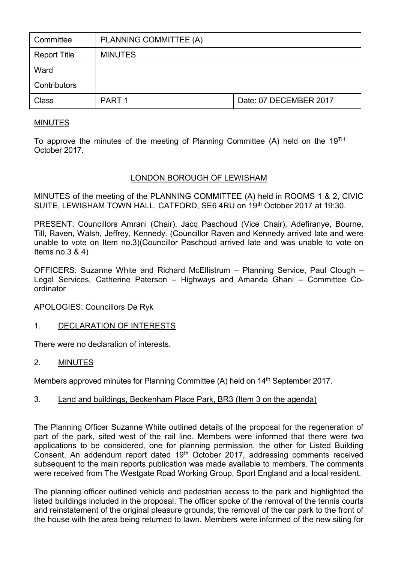| Committee           | PLANNING COMMITTEE (A) |                        |
|---------------------|------------------------|------------------------|
| <b>Report Title</b> | <b>MINUTES</b>         |                        |
| Ward                |                        |                        |
| Contributors        |                        |                        |
| <b>Class</b>        | PART <sub>1</sub>      | Date: 07 DECEMBER 2017 |

## MINUTES

To approve the minutes of the meeting of Planning Committee (A) held on the  $19<sup>TH</sup>$ October 2017.

## LONDON BOROUGH OF LEWISHAM

MINUTES of the meeting of the PLANNING COMMITTEE (A) held in ROOMS 1 & 2, CIVIC SUITE, LEWISHAM TOWN HALL, CATFORD, SE6 4RU on 19<sup>th</sup> October 2017 at 19:30.

PRESENT: Councillors Amrani (Chair), Jacq Paschoud (Vice Chair), Adefiranye, Bourne, Till, Raven, Walsh, Jeffrey, Kennedy. (Councillor Raven and Kennedy arrived late and were unable to vote on Item no.3)(Councillor Paschoud arrived late and was unable to vote on Items no.  $3 & 4$ )

OFFICERS: Suzanne White and Richard McEllistrum – Planning Service, Paul Clough – Legal Services, Catherine Paterson – Highways and Amanda Ghani – Committee Coordinator

APOLOGIES: Councillors De Ryk

1. DECLARATION OF INTERESTS

There were no declaration of interests.

2. MINUTES

Members approved minutes for Planning Committee (A) held on 14<sup>th</sup> September 2017.

3. Land and buildings, Beckenham Place Park, BR3 (Item 3 on the agenda)

The Planning Officer Suzanne White outlined details of the proposal for the regeneration of part of the park, sited west of the rail line. Members were informed that there were two applications to be considered, one for planning permission, the other for Listed Building Consent. An addendum report dated 19<sup>th</sup> October 2017, addressing comments received subsequent to the main reports publication was made available to members. The comments were received from The Westgate Road Working Group, Sport England and a local resident.

The planning officer outlined vehicle and pedestrian access to the park and highlighted the listed buildings included in the proposal. The officer spoke of the removal of the tennis courts and reinstatement of the original pleasure grounds; the removal of the car park to the front of the house with the area being returned to lawn. Members were informed of the new siting for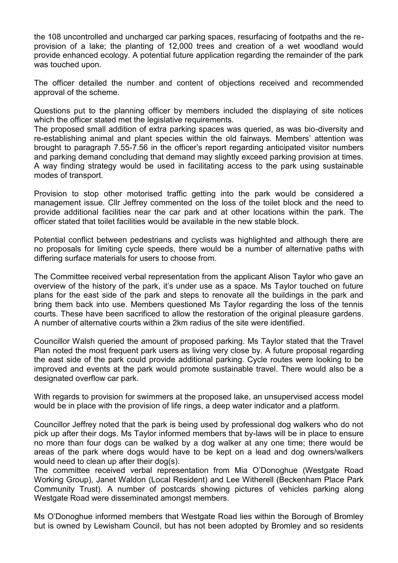the 108 uncontrolled and uncharged car parking spaces, resurfacing of footpaths and the reprovision of a lake; the planting of 12,000 trees and creation of a wet woodland would provide enhanced ecology. A potential future application regarding the remainder of the park was touched upon.

The officer detailed the number and content of objections received and recommended approval of the scheme.

Questions put to the planning officer by members included the displaying of site notices which the officer stated met the legislative requirements.

The proposed small addition of extra parking spaces was queried, as was bio-diversity and re-establishing animal and plant species within the old fairways. Members' attention was brought to paragraph 7.55-7.56 in the officer's report regarding anticipated visitor numbers and parking demand concluding that demand may slightly exceed parking provision at times. A way finding strategy would be used in facilitating access to the park using sustainable modes of transport.

Provision to stop other motorised traffic getting into the park would be considered a management issue. Cllr Jeffrey commented on the loss of the toilet block and the need to provide additional facilities near the car park and at other locations within the park. The officer stated that toilet facilities would be available in the new stable block.

Potential conflict between pedestrians and cyclists was highlighted and although there are no proposals for limiting cycle speeds, there would be a number of alternative paths with differing surface materials for users to choose from.

The Committee received verbal representation from the applicant Alison Taylor who gave an overview of the history of the park, it's under use as a space. Ms Taylor touched on future plans for the east side of the park and steps to renovate all the buildings in the park and bring them back into use. Members questioned Ms Taylor regarding the loss of the tennis courts. These have been sacrificed to allow the restoration of the original pleasure gardens. A number of alternative courts within a 2km radius of the site were identified.

Councillor Walsh queried the amount of proposed parking. Ms Taylor stated that the Travel Plan noted the most frequent park users as living very close by. A future proposal regarding the east side of the park could provide additional parking. Cycle routes were looking to be improved and events at the park would promote sustainable travel. There would also be a designated overflow car park.

With regards to provision for swimmers at the proposed lake, an unsupervised access model would be in place with the provision of life rings, a deep water indicator and a platform.

Councillor Jeffrey noted that the park is being used by professional dog walkers who do not pick up after their dogs. Ms Taylor informed members that by-laws will be in place to ensure no more than four dogs can be walked by a dog walker at any one time; there would be areas of the park where dogs would have to be kept on a lead and dog owners/walkers would need to clean up after their dog(s).

The committee received verbal representation from Mia O'Donoghue (Westgate Road Working Group), Janet Waldon (Local Resident) and Lee Witherell (Beckenham Place Park Community Trust). A number of postcards showing pictures of vehicles parking along Westgate Road were disseminated amongst members.

Ms O'Donoghue informed members that Westgate Road lies within the Borough of Bromley but is owned by Lewisham Council, but has not been adopted by Bromley and so residents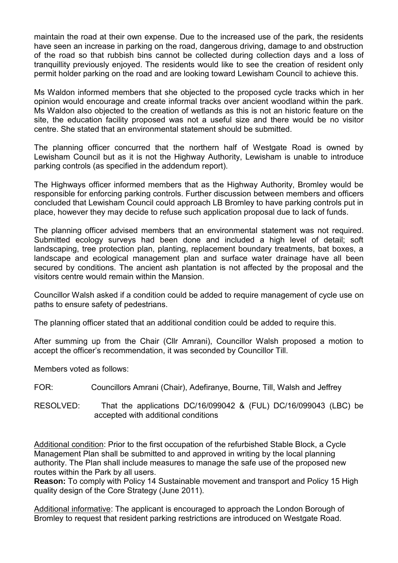maintain the road at their own expense. Due to the increased use of the park, the residents have seen an increase in parking on the road, dangerous driving, damage to and obstruction of the road so that rubbish bins cannot be collected during collection days and a loss of tranquillity previously enjoyed. The residents would like to see the creation of resident only permit holder parking on the road and are looking toward Lewisham Council to achieve this.

Ms Waldon informed members that she objected to the proposed cycle tracks which in her opinion would encourage and create informal tracks over ancient woodland within the park. Ms Waldon also objected to the creation of wetlands as this is not an historic feature on the site, the education facility proposed was not a useful size and there would be no visitor centre. She stated that an environmental statement should be submitted.

The planning officer concurred that the northern half of Westgate Road is owned by Lewisham Council but as it is not the Highway Authority, Lewisham is unable to introduce parking controls (as specified in the addendum report).

The Highways officer informed members that as the Highway Authority, Bromley would be responsible for enforcing parking controls. Further discussion between members and officers concluded that Lewisham Council could approach LB Bromley to have parking controls put in place, however they may decide to refuse such application proposal due to lack of funds.

The planning officer advised members that an environmental statement was not required. Submitted ecology surveys had been done and included a high level of detail; soft landscaping, tree protection plan, planting, replacement boundary treatments, bat boxes, a landscape and ecological management plan and surface water drainage have all been secured by conditions. The ancient ash plantation is not affected by the proposal and the visitors centre would remain within the Mansion.

Councillor Walsh asked if a condition could be added to require management of cycle use on paths to ensure safety of pedestrians.

The planning officer stated that an additional condition could be added to require this.

After summing up from the Chair (Cllr Amrani), Councillor Walsh proposed a motion to accept the officer's recommendation, it was seconded by Councillor Till.

Members voted as follows:

FOR: Councillors Amrani (Chair), Adefiranye, Bourne, Till, Walsh and Jeffrey

RESOLVED: That the applications DC/16/099042 & (FUL) DC/16/099043 (LBC) be accepted with additional conditions

Additional condition: Prior to the first occupation of the refurbished Stable Block, a Cycle Management Plan shall be submitted to and approved in writing by the local planning authority. The Plan shall include measures to manage the safe use of the proposed new routes within the Park by all users.

**Reason:** To comply with Policy 14 Sustainable movement and transport and Policy 15 High quality design of the Core Strategy (June 2011).

Additional informative: The applicant is encouraged to approach the London Borough of Bromley to request that resident parking restrictions are introduced on Westgate Road.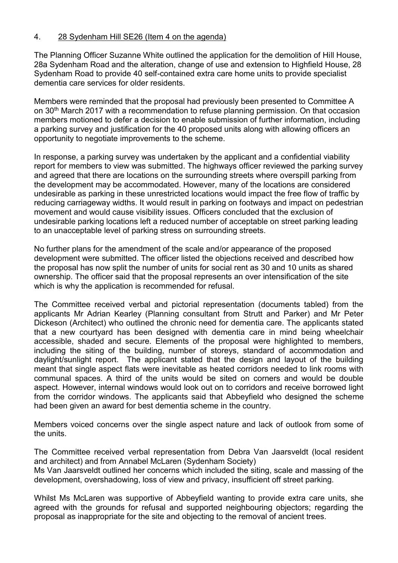## 4. 28 Sydenham Hill SE26 (Item 4 on the agenda)

The Planning Officer Suzanne White outlined the application for the demolition of Hill House, 28a Sydenham Road and the alteration, change of use and extension to Highfield House, 28 Sydenham Road to provide 40 self-contained extra care home units to provide specialist dementia care services for older residents.

Members were reminded that the proposal had previously been presented to Committee A on 30<sup>th</sup> March 2017 with a recommendation to refuse planning permission. On that occasion members motioned to defer a decision to enable submission of further information, including a parking survey and justification for the 40 proposed units along with allowing officers an opportunity to negotiate improvements to the scheme.

In response, a parking survey was undertaken by the applicant and a confidential viability report for members to view was submitted. The highways officer reviewed the parking survey and agreed that there are locations on the surrounding streets where overspill parking from the development may be accommodated. However, many of the locations are considered undesirable as parking in these unrestricted locations would impact the free flow of traffic by reducing carriageway widths. It would result in parking on footways and impact on pedestrian movement and would cause visibility issues. Officers concluded that the exclusion of undesirable parking locations left a reduced number of acceptable on street parking leading to an unacceptable level of parking stress on surrounding streets.

No further plans for the amendment of the scale and/or appearance of the proposed development were submitted. The officer listed the objections received and described how the proposal has now split the number of units for social rent as 30 and 10 units as shared ownership. The officer said that the proposal represents an over intensification of the site which is why the application is recommended for refusal.

The Committee received verbal and pictorial representation (documents tabled) from the applicants Mr Adrian Kearley (Planning consultant from Strutt and Parker) and Mr Peter Dickeson (Architect) who outlined the chronic need for dementia care. The applicants stated that a new courtyard has been designed with dementia care in mind being wheelchair accessible, shaded and secure. Elements of the proposal were highlighted to members, including the siting of the building, number of storeys, standard of accommodation and daylight/sunlight report. The applicant stated that the design and layout of the building meant that single aspect flats were inevitable as heated corridors needed to link rooms with communal spaces. A third of the units would be sited on corners and would be double aspect. However, internal windows would look out on to corridors and receive borrowed light from the corridor windows. The applicants said that Abbeyfield who designed the scheme had been given an award for best dementia scheme in the country.

Members voiced concerns over the single aspect nature and lack of outlook from some of the units.

The Committee received verbal representation from Debra Van Jaarsveldt (local resident and architect) and from Annabel McLaren (Sydenham Society) Ms Van Jaarsveldt outlined her concerns which included the siting, scale and massing of the development, overshadowing, loss of view and privacy, insufficient off street parking.

Whilst Ms McLaren was supportive of Abbeyfield wanting to provide extra care units, she agreed with the grounds for refusal and supported neighbouring objectors; regarding the proposal as inappropriate for the site and objecting to the removal of ancient trees.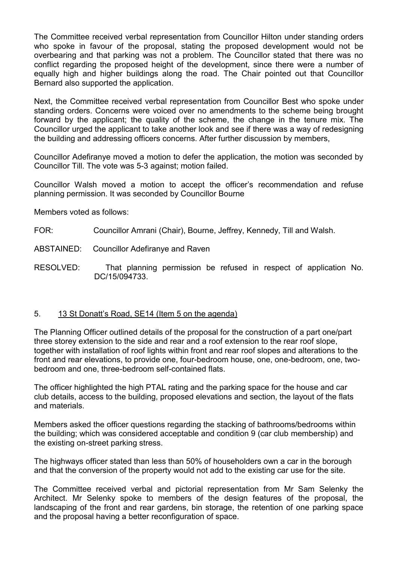The Committee received verbal representation from Councillor Hilton under standing orders who spoke in favour of the proposal, stating the proposed development would not be overbearing and that parking was not a problem. The Councillor stated that there was no conflict regarding the proposed height of the development, since there were a number of equally high and higher buildings along the road. The Chair pointed out that Councillor Bernard also supported the application.

Next, the Committee received verbal representation from Councillor Best who spoke under standing orders. Concerns were voiced over no amendments to the scheme being brought forward by the applicant; the quality of the scheme, the change in the tenure mix. The Councillor urged the applicant to take another look and see if there was a way of redesigning the building and addressing officers concerns. After further discussion by members,

Councillor Adefiranye moved a motion to defer the application, the motion was seconded by Councillor Till. The vote was 5-3 against; motion failed.

Councillor Walsh moved a motion to accept the officer's recommendation and refuse planning permission. It was seconded by Councillor Bourne

Members voted as follows:

- FOR: Councillor Amrani (Chair), Bourne, Jeffrey, Kennedy, Till and Walsh.
- ABSTAINED: Councillor Adefiranye and Raven
- RESOLVED: That planning permission be refused in respect of application No. DC/15/094733.

## 5. 13 St Donatt's Road, SE14 (Item 5 on the agenda)

The Planning Officer outlined details of the proposal for the construction of a part one/part three storey extension to the side and rear and a roof extension to the rear roof slope, together with installation of roof lights within front and rear roof slopes and alterations to the front and rear elevations, to provide one, four-bedroom house, one, one-bedroom, one, twobedroom and one, three-bedroom self-contained flats.

The officer highlighted the high PTAL rating and the parking space for the house and car club details, access to the building, proposed elevations and section, the layout of the flats and materials.

Members asked the officer questions regarding the stacking of bathrooms/bedrooms within the building; which was considered acceptable and condition 9 (car club membership) and the existing on-street parking stress.

The highways officer stated than less than 50% of householders own a car in the borough and that the conversion of the property would not add to the existing car use for the site.

The Committee received verbal and pictorial representation from Mr Sam Selenky the Architect. Mr Selenky spoke to members of the design features of the proposal, the landscaping of the front and rear gardens, bin storage, the retention of one parking space and the proposal having a better reconfiguration of space.